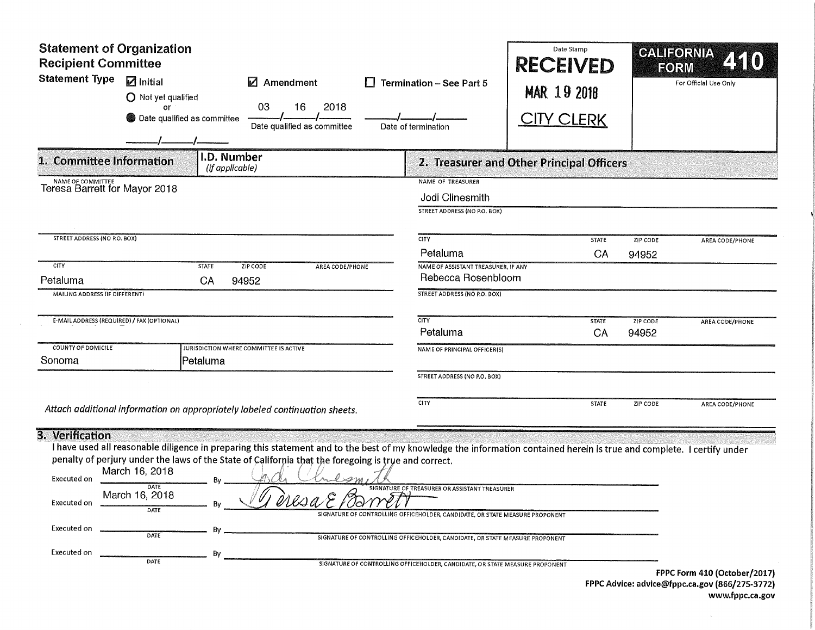| <b>Statement of Organization</b><br><b>Recipient Committee</b><br><b>Statement Type</b><br>$\mathbf Z$ Initial<br>$\blacksquare$ Amendment<br>O Not yet qualified<br>16<br>2018<br>03<br>or<br>Date qualified as committee<br>Date qualified as committee                                         | Termination - See Part 5<br>Date of termination                                                                                     | Date Stamp<br><b>RECEIVED</b><br>MAR 19 2018<br><u>CITY CLERK</u> | <b>CALIFORNIA</b><br>FORM<br>For Official Use Only |
|---------------------------------------------------------------------------------------------------------------------------------------------------------------------------------------------------------------------------------------------------------------------------------------------------|-------------------------------------------------------------------------------------------------------------------------------------|-------------------------------------------------------------------|----------------------------------------------------|
| I.D. Number<br>1. Committee Information<br>(if applicable)                                                                                                                                                                                                                                        |                                                                                                                                     | 2. Treasurer and Other Principal Officers                         |                                                    |
| NAME OF COMMITTEE<br>Teresa Barrett for Mayor 2018                                                                                                                                                                                                                                                | NAME OF TREASURER<br>Jodi Clinesmith<br>STREET ADDRESS (NO P.O. BOX)                                                                |                                                                   |                                                    |
| <b>STREET ADDRESS (NO P.O. BOX)</b>                                                                                                                                                                                                                                                               | <b>CITY</b>                                                                                                                         | <b>STATE</b>                                                      | ZIP CODE<br>AREA CODE/PHONE                        |
|                                                                                                                                                                                                                                                                                                   | Petaluma                                                                                                                            | CA                                                                | 94952                                              |
| CITY<br><b>STATE</b><br>ZIP CODE<br>AREA CODE/PHONE<br>Petaluma<br>CA<br>94952                                                                                                                                                                                                                    | NAME OF ASSISTANT TREASURER, IF ANY<br>Rebecca Rosenbloom                                                                           |                                                                   |                                                    |
| MAILING ADDRESS (IF DIFFERENT)                                                                                                                                                                                                                                                                    | <b>STREET ADDRESS (NO P.O. BOX)</b>                                                                                                 |                                                                   |                                                    |
| E-MAIL ADDRESS (REQUIRED) / FAX (OPTIONAL)                                                                                                                                                                                                                                                        | <b>CITY</b><br>Petaluma                                                                                                             | <b>STATE</b><br>CA                                                | <b>ZIP CODE</b><br>AREA CODE/PHONE<br>94952        |
| <b>COUNTY OF DOMICILE</b><br>JURISDICTION WHERE COMMITTEE IS ACTIVE                                                                                                                                                                                                                               | NAME OF PRINCIPAL OFFICER(S)                                                                                                        |                                                                   |                                                    |
| Sonoma<br>Petaluma                                                                                                                                                                                                                                                                                | STREET ADDRESS (NO P.O. BOX)                                                                                                        |                                                                   |                                                    |
| Attach additional information on appropriately labeled continuation sheets.<br>3. Verification                                                                                                                                                                                                    | CITY                                                                                                                                | <b>STATE</b>                                                      | ZIP CODE<br>AREA CODE/PHONE                        |
| I have used all reasonable diligence in preparing this statement and to the best of my knowledge the information contained herein is true and complete. I certify under<br>penalty of perjury under the laws of the State of California that the foregoing is true and correct.<br>March 16, 2018 |                                                                                                                                     |                                                                   |                                                    |
| Executed on<br>Bν<br>DATE<br>March 16, 2018<br>A<br>eresa<br>Executed on<br>DATE                                                                                                                                                                                                                  | SIGNATURE OF TREASURER OR ASSISTANT TREASURER<br>54<br>SIGNATURE OF CONTROLLING OFFICEHOLDER, CANDIDATE, OR STATE MEASURE PROPONENT |                                                                   |                                                    |
| <b>Executed on</b><br>DATE                                                                                                                                                                                                                                                                        | SIGNATURE OF CONTROLLING OFFICEHOLDER, CANDIDATE, OR STATE MEASURE PROPONENT                                                        |                                                                   |                                                    |
| Executed on<br>By<br>DATE                                                                                                                                                                                                                                                                         | SIGNATURE OF CONTROLLING OFFICEHOLDER, CANDIDATE, OR STATE MEASURE PROPONENT                                                        |                                                                   | FPPC Form 410 (October/2017)                       |

FPPC Advice: advice@fppc. ca. gov ( 866/ 275- 3772) www.fppc.ca.gov

 $\bar{\mathcal{A}}$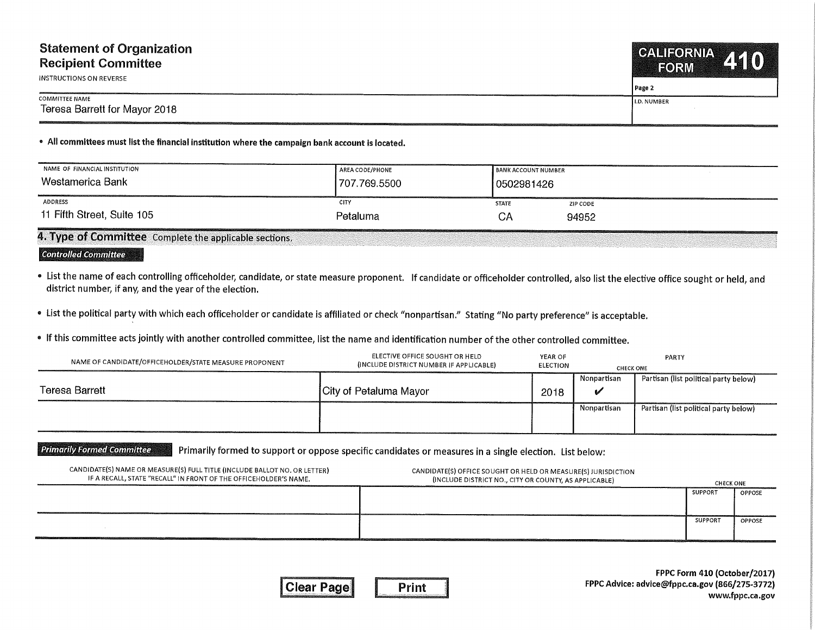## Statement of Organization Recipient Committee

INSTRUCTIONS ON REVERSE

Teresa Barrett for Mayor 2018

COMMITTEE NAME

Page 2

**I.D. NUMBER** 

## <sup>e</sup> All committees must list the financial institution where the campaign bank account is located.

| NAME OF FINANCIAL INSTITUTION | AREA CODE/PHONE | <b>BANK ACCOUNT NUMBER</b> |          |
|-------------------------------|-----------------|----------------------------|----------|
| Westamerica Bank              | 707.769.5500    | l 0502981426               |          |
| ADDRESS                       | CITY            | <b>STATE</b>               | ZIP CODE |
| 11 Fifth Street, Suite 105    | Petaluma        | CΑ                         | 94952    |

4. Type of Committee Complete the applicable sections.

## **Controlled Committee**

- List the name of each controlling officeholder, candidate, or state measure proponent. If candidate or officeholder controlled, also list the elective office sought or held, and district number, if any, and the year of the election.
- . List the political party with which each officeholder or candidate is affiliated or check "nonpartisan." Stating "No party preference" is acceptable.
- If this committee acts jointly with another controlled committee, list the name and identification number of the other controlled committee.

| NAME OF CANDIDATE/OFFICEHOLDER/STATE MEASURE PROPONENT | ELECTIVE OFFICE SOUGHT OR HELD<br>(INCLUDE DISTRICT NUMBER IF APPLICABLE) | YEAR OF<br><b>ELECTION</b> | <b>CHECK ONE</b> | PARTY                                 |
|--------------------------------------------------------|---------------------------------------------------------------------------|----------------------------|------------------|---------------------------------------|
|                                                        |                                                                           |                            | Nonpartisan      | Partisan (list political party below) |
| Teresa Barrett                                         | City of Petaluma Mayor                                                    | 2018                       | ß.               |                                       |
|                                                        |                                                                           |                            | Nonpartisan      | Partisan (list political party below) |
|                                                        |                                                                           |                            |                  |                                       |

## **Primarily Formed Committee** Primarily formed to support or oppose specific candidates or measures in <sup>a</sup> single election. List below;

| CANDIDATE(S) NAME OR MEASURE(S) FULL TITLE (INCLUDE BALLOT NO. OR LETTER)<br>IF A RECALL, STATE "RECALL" IN FRONT OF THE OFFICEHOLDER'S NAME. | CANDIDATE(S) OFFICE SOUGHT OR HELD OR MEASURE(S) JURISDICTION<br>(INCLUDE DISTRICT NO., CITY OR COUNTY, AS APPLICABLE) | <b>CHECK ONE</b> |        |
|-----------------------------------------------------------------------------------------------------------------------------------------------|------------------------------------------------------------------------------------------------------------------------|------------------|--------|
|                                                                                                                                               |                                                                                                                        | SUPPORT          | OPPOSE |
|                                                                                                                                               |                                                                                                                        | <b>SUPPORT</b>   | OPPOSE |